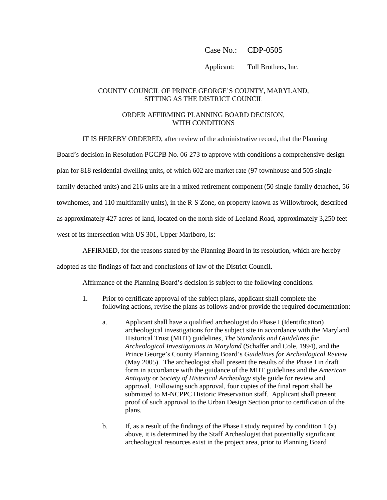## Case No.: CDP-0505

Applicant: Toll Brothers, Inc.

## COUNTY COUNCIL OF PRINCE GEORGE'S COUNTY, MARYLAND, SITTING AS THE DISTRICT COUNCIL

## ORDER AFFIRMING PLANNING BOARD DECISION, WITH CONDITIONS

IT IS HEREBY ORDERED, after review of the administrative record, that the Planning

Board's decision in Resolution PGCPB No. 06-273 to approve with conditions a comprehensive design

plan for 818 residential dwelling units, of which 602 are market rate (97 townhouse and 505 single-

family detached units) and 216 units are in a mixed retirement component (50 single-family detached, 56

townhomes, and 110 multifamily units), in the R-S Zone, on property known as Willowbrook, described

as approximately 427 acres of land, located on the north side of Leeland Road, approximately 3,250 feet

west of its intersection with US 301, Upper Marlboro, is:

AFFIRMED, for the reasons stated by the Planning Board in its resolution, which are hereby

adopted as the findings of fact and conclusions of law of the District Council.

Affirmance of the Planning Board's decision is subject to the following conditions.

- 1. Prior to certificate approval of the subject plans, applicant shall complete the following actions, revise the plans as follows and/or provide the required documentation:
	- a. Applicant shall have a qualified archeologist do Phase I (Identification) archeological investigations for the subject site in accordance with the Maryland Historical Trust (MHT) guidelines, *The Standards and Guidelines for Archeological Investigations in Maryland* (Schaffer and Cole, 1994), and the Prince George's County Planning Board's *Guidelines for Archeological Review*  (May 2005). The archeologist shall present the results of the Phase I in draft form in accordance with the guidance of the MHT guidelines and the *American Antiquity* or *Society of Historical Archeology* style guide for review and approval. Following such approval, four copies of the final report shall be submitted to M-NCPPC Historic Preservation staff. Applicant shall present proof of such approval to the Urban Design Section prior to certification of the plans.
	- b. If, as a result of the findings of the Phase I study required by condition 1 (a) above, it is determined by the Staff Archeologist that potentially significant archeological resources exist in the project area, prior to Planning Board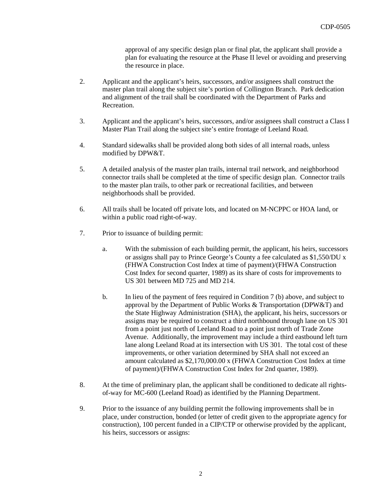approval of any specific design plan or final plat, the applicant shall provide a plan for evaluating the resource at the Phase II level or avoiding and preserving the resource in place.

- 2. Applicant and the applicant's heirs, successors, and/or assignees shall construct the master plan trail along the subject site's portion of Collington Branch. Park dedication and alignment of the trail shall be coordinated with the Department of Parks and Recreation.
- 3. Applicant and the applicant's heirs, successors, and/or assignees shall construct a Class I Master Plan Trail along the subject site's entire frontage of Leeland Road.
- 4. Standard sidewalks shall be provided along both sides of all internal roads, unless modified by DPW&T.
- 5. A detailed analysis of the master plan trails, internal trail network, and neighborhood connector trails shall be completed at the time of specific design plan. Connector trails to the master plan trails, to other park or recreational facilities, and between neighborhoods shall be provided.
- 6. All trails shall be located off private lots, and located on M-NCPPC or HOA land, or within a public road right-of-way.
- 7. Prior to issuance of building permit:
	- a. With the submission of each building permit, the applicant, his heirs, successors or assigns shall pay to Prince George's County a fee calculated as \$1,550/DU x (FHWA Construction Cost Index at time of payment)/(FHWA Construction Cost Index for second quarter, 1989) as its share of costs for improvements to US 301 between MD 725 and MD 214.
	- b. In lieu of the payment of fees required in Condition 7 (b) above, and subject to approval by the Department of Public Works & Transportation (DPW&T) and the State Highway Administration (SHA), the applicant, his heirs, successors or assigns may be required to construct a third northbound through lane on US 301 from a point just north of Leeland Road to a point just north of Trade Zone Avenue. Additionally, the improvement may include a third eastbound left turn lane along Leeland Road at its intersection with US 301. The total cost of these improvements, or other variation determined by SHA shall not exceed an amount calculated as \$2,170,000.00 x (FHWA Construction Cost Index at time of payment)/(FHWA Construction Cost Index for 2nd quarter, 1989).
- 8. At the time of preliminary plan, the applicant shall be conditioned to dedicate all rightsof-way for MC-600 (Leeland Road) as identified by the Planning Department.
- 9. Prior to the issuance of any building permit the following improvements shall be in place, under construction, bonded (or letter of credit given to the appropriate agency for construction), 100 percent funded in a CIP/CTP or otherwise provided by the applicant, his heirs, successors or assigns: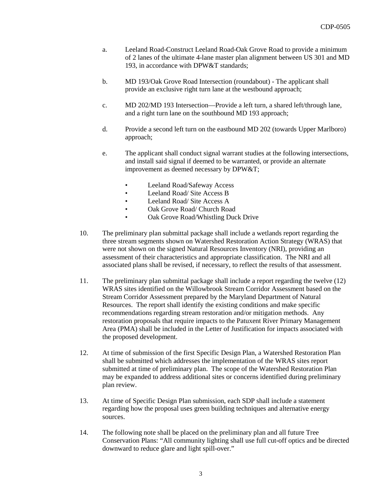- a. Leeland Road-Construct Leeland Road-Oak Grove Road to provide a minimum of 2 lanes of the ultimate 4-lane master plan alignment between US 301 and MD 193, in accordance with DPW&T standards;
- b. MD 193/Oak Grove Road Intersection (roundabout) The applicant shall provide an exclusive right turn lane at the westbound approach;
- c. MD 202/MD 193 Intersection—Provide a left turn, a shared left/through lane, and a right turn lane on the southbound MD 193 approach;
- d. Provide a second left turn on the eastbound MD 202 (towards Upper Marlboro) approach;
- e. The applicant shall conduct signal warrant studies at the following intersections, and install said signal if deemed to be warranted, or provide an alternate improvement as deemed necessary by DPW&T;
	- Leeland Road/Safeway Access
	- Leeland Road/ Site Access B
	- Leeland Road/ Site Access A
	- Oak Grove Road/ Church Road
	- Oak Grove Road/Whistling Duck Drive
- 10. The preliminary plan submittal package shall include a wetlands report regarding the three stream segments shown on Watershed Restoration Action Strategy (WRAS) that were not shown on the signed Natural Resources Inventory (NRI), providing an assessment of their characteristics and appropriate classification. The NRI and all associated plans shall be revised, if necessary, to reflect the results of that assessment.
- 11. The preliminary plan submittal package shall include a report regarding the twelve (12) WRAS sites identified on the Willowbrook Stream Corridor Assessment based on the Stream Corridor Assessment prepared by the Maryland Department of Natural Resources. The report shall identify the existing conditions and make specific recommendations regarding stream restoration and/or mitigation methods. Any restoration proposals that require impacts to the Patuxent River Primary Management Area (PMA) shall be included in the Letter of Justification for impacts associated with the proposed development.
- 12. At time of submission of the first Specific Design Plan, a Watershed Restoration Plan shall be submitted which addresses the implementation of the WRAS sites report submitted at time of preliminary plan. The scope of the Watershed Restoration Plan may be expanded to address additional sites or concerns identified during preliminary plan review.
- 13. At time of Specific Design Plan submission, each SDP shall include a statement regarding how the proposal uses green building techniques and alternative energy sources.
- 14. The following note shall be placed on the preliminary plan and all future Tree Conservation Plans: "All community lighting shall use full cut-off optics and be directed downward to reduce glare and light spill-over."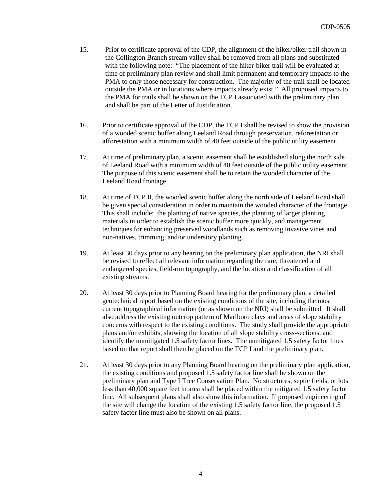- 15. Prior to certificate approval of the CDP, the alignment of the hiker/biker trail shown in the Collington Branch stream valley shall be removed from all plans and substituted with the following note: "The placement of the hiker-biker trail will be evaluated at time of preliminary plan review and shall limit permanent and temporary impacts to the PMA to only those necessary for construction. The majority of the trail shall be located outside the PMA or in locations where impacts already exist." All proposed impacts to the PMA for trails shall be shown on the TCP I associated with the preliminary plan and shall be part of the Letter of Justification.
- 16. Prior to certificate approval of the CDP, the TCP I shall be revised to show the provision of a wooded scenic buffer along Leeland Road through preservation, reforestation or afforestation with a minimum width of 40 feet outside of the public utility easement.
- 17. At time of preliminary plan, a scenic easement shall be established along the north side of Leeland Road with a minimum width of 40 feet outside of the public utility easement. The purpose of this scenic easement shall be to retain the wooded character of the Leeland Road frontage.
- 18. At time of TCP II, the wooded scenic buffer along the north side of Leeland Road shall be given special consideration in order to maintain the wooded character of the frontage. This shall include: the planting of native species, the planting of larger planting materials in order to establish the scenic buffer more quickly, and management techniques for enhancing preserved woodlands such as removing invasive vines and non-natives, trimming, and/or understory planting.
- 19. At least 30 days prior to any hearing on the preliminary plan application, the NRI shall be revised to reflect all relevant information regarding the rare, threatened and endangered species, field-run topography, and the location and classification of all existing streams.
- 20. At least 30 days prior to Planning Board hearing for the preliminary plan, a detailed geotechnical report based on the existing conditions of the site, including the most current topographical information (or as shown on the NRI) shall be submitted. It shall also address the existing outcrop pattern of Marlboro clays and areas of slope stability concerns with respect to the existing conditions. The study shall provide the appropriate plans and/or exhibits, showing the location of all slope stability cross-sections, and identify the unmitigated 1.5 safety factor lines. The unmitigated 1.5 safety factor lines based on that report shall then be placed on the TCP I and the preliminary plan.
- 21. At least 30 days prior to any Planning Board hearing on the preliminary plan application, the existing conditions and proposed 1.5 safety factor line shall be shown on the preliminary plan and Type I Tree Conservation Plan. No structures, septic fields, or lots less than 40,000 square feet in area shall be placed within the mitigated 1.5 safety factor line. All subsequent plans shall also show this information. If proposed engineering of the site will change the location of the existing 1.5 safety factor line, the proposed 1.5 safety factor line must also be shown on all plans.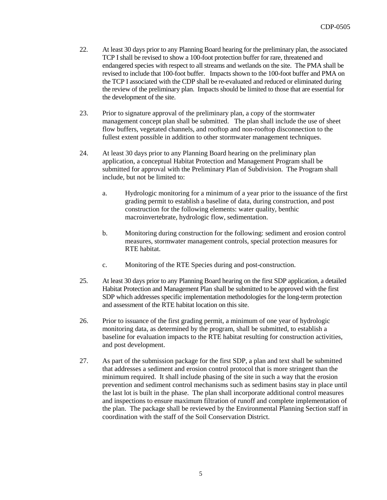- 22. At least 30 days prior to any Planning Board hearing for the preliminary plan, the associated TCP I shall be revised to show a 100-foot protection buffer for rare, threatened and endangered species with respect to all streams and wetlands on the site. The PMA shall be revised to include that 100-foot buffer. Impacts shown to the 100-foot buffer and PMA on the TCP I associated with the CDP shall be re-evaluated and reduced or eliminated during the review of the preliminary plan. Impacts should be limited to those that are essential for the development of the site.
- 23. Prior to signature approval of the preliminary plan, a copy of the stormwater management concept plan shall be submitted. The plan shall include the use of sheet flow buffers, vegetated channels, and rooftop and non-rooftop disconnection to the fullest extent possible in addition to other stormwater management techniques.
- 24. At least 30 days prior to any Planning Board hearing on the preliminary plan application, a conceptual Habitat Protection and Management Program shall be submitted for approval with the Preliminary Plan of Subdivision. The Program shall include, but not be limited to:
	- a. Hydrologic monitoring for a minimum of a year prior to the issuance of the first grading permit to establish a baseline of data, during construction, and post construction for the following elements: water quality, benthic macroinvertebrate, hydrologic flow, sedimentation.
	- b. Monitoring during construction for the following: sediment and erosion control measures, stormwater management controls, special protection measures for RTE habitat.
	- c. Monitoring of the RTE Species during and post-construction.
- 25. At least 30 days prior to any Planning Board hearing on the first SDP application, a detailed Habitat Protection and Management Plan shall be submitted to be approved with the first SDP which addresses specific implementation methodologies for the long-term protection and assessment of the RTE habitat location on this site.
- 26. Prior to issuance of the first grading permit, a minimum of one year of hydrologic monitoring data, as determined by the program, shall be submitted, to establish a baseline for evaluation impacts to the RTE habitat resulting for construction activities, and post development.
- 27. As part of the submission package for the first SDP, a plan and text shall be submitted that addresses a sediment and erosion control protocol that is more stringent than the minimum required. It shall include phasing of the site in such a way that the erosion prevention and sediment control mechanisms such as sediment basins stay in place until the last lot is built in the phase. The plan shall incorporate additional control measures and inspections to ensure maximum filtration of runoff and complete implementation of the plan. The package shall be reviewed by the Environmental Planning Section staff in coordination with the staff of the Soil Conservation District.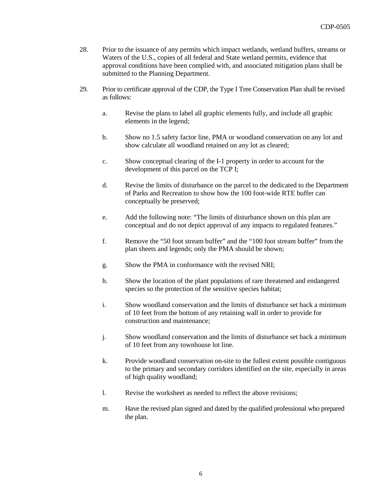- 28. Prior to the issuance of any permits which impact wetlands, wetland buffers, streams or Waters of the U.S., copies of all federal and State wetland permits, evidence that approval conditions have been complied with, and associated mitigation plans shall be submitted to the Planning Department.
- 29. Prior to certificate approval of the CDP, the Type I Tree Conservation Plan shall be revised as follows:
	- a. Revise the plans to label all graphic elements fully, and include all graphic elements in the legend;
	- b. Show no 1.5 safety factor line, PMA or woodland conservation on any lot and show calculate all woodland retained on any lot as cleared;
	- c. Show conceptual clearing of the I-1 property in order to account for the development of this parcel on the TCP I;
	- d. Revise the limits of disturbance on the parcel to the dedicated to the Department of Parks and Recreation to show how the 100 foot-wide RTE buffer can conceptually be preserved;
	- e. Add the following note: "The limits of disturbance shown on this plan are conceptual and do not depict approval of any impacts to regulated features."
	- f. Remove the "50 foot stream buffer" and the "100 foot stream buffer" from the plan sheets and legends; only the PMA should be shown;
	- g. Show the PMA in conformance with the revised NRI;
	- h. Show the location of the plant populations of rare threatened and endangered species so the protection of the sensitive species habitat;
	- i. Show woodland conservation and the limits of disturbance set back a minimum of 10 feet from the bottom of any retaining wall in order to provide for construction and maintenance;
	- j. Show woodland conservation and the limits of disturbance set back a minimum of 10 feet from any townhouse lot line.
	- k. Provide woodland conservation on-site to the fullest extent possible contiguous to the primary and secondary corridors identified on the site, especially in areas of high quality woodland;
	- l. Revise the worksheet as needed to reflect the above revisions;
	- m. Have the revised plan signed and dated by the qualified professional who prepared the plan.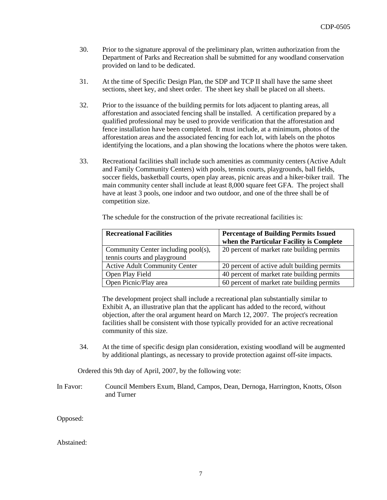- 30. Prior to the signature approval of the preliminary plan, written authorization from the Department of Parks and Recreation shall be submitted for any woodland conservation provided on land to be dedicated.
- 31. At the time of Specific Design Plan, the SDP and TCP II shall have the same sheet sections, sheet key, and sheet order. The sheet key shall be placed on all sheets.
- 32. Prior to the issuance of the building permits for lots adjacent to planting areas, all afforestation and associated fencing shall be installed. A certification prepared by a qualified professional may be used to provide verification that the afforestation and fence installation have been completed. It must include, at a minimum, photos of the afforestation areas and the associated fencing for each lot, with labels on the photos identifying the locations, and a plan showing the locations where the photos were taken.
- 33. Recreational facilities shall include such amenities as community centers (Active Adult and Family Community Centers) with pools, tennis courts, playgrounds, ball fields, soccer fields, basketball courts, open play areas, picnic areas and a hiker-biker trail. The main community center shall include at least 8,000 square feet GFA. The project shall have at least 3 pools, one indoor and two outdoor, and one of the three shall be of competition size.

| <b>Recreational Facilities</b>       | <b>Percentage of Building Permits Issued</b> |
|--------------------------------------|----------------------------------------------|
|                                      | when the Particular Facility is Complete     |
| Community Center including pool(s),  | 20 percent of market rate building permits   |
| tennis courts and playground         |                                              |
| <b>Active Adult Community Center</b> | 20 percent of active adult building permits  |
| Open Play Field                      | 40 percent of market rate building permits   |
| Open Picnic/Play area                | 60 percent of market rate building permits   |

The development project shall include a recreational plan substantially similar to Exhibit A, an illustrative plan that the applicant has added to the record, without objection, after the oral argument heard on March 12, 2007. The project's recreation facilities shall be consistent with those typically provided for an active recreational community of this size.

34. At the time of specific design plan consideration, existing woodland will be augmented by additional plantings, as necessary to provide protection against off-site impacts.

Ordered this 9th day of April, 2007, by the following vote:

In Favor: Council Members Exum, Bland, Campos, Dean, Dernoga, Harrington, Knotts, Olson and Turner

Opposed:

Abstained: